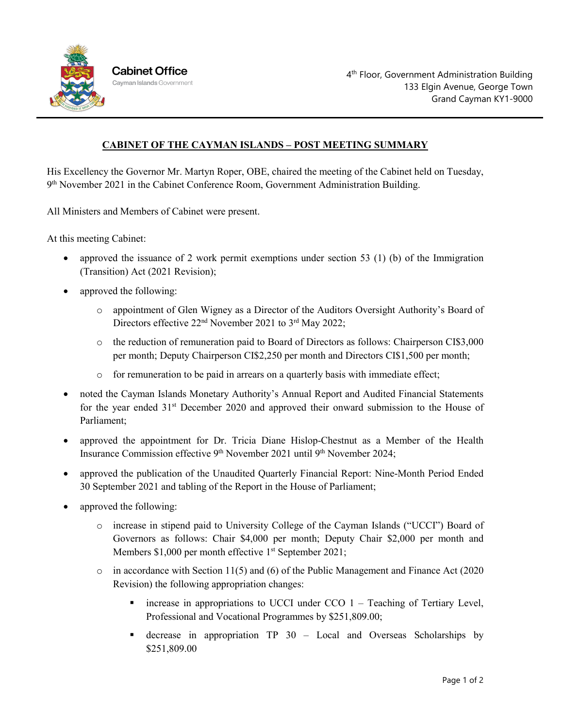

## **CABINET OF THE CAYMAN ISLANDS – POST MEETING SUMMARY**

His Excellency the Governor Mr. Martyn Roper, OBE, chaired the meeting of the Cabinet held on Tuesday,  $9<sup>th</sup>$  November 2021 in the Cabinet Conference Room, Government Administration Building.

All Ministers and Members of Cabinet were present.

At this meeting Cabinet:

- approved the issuance of 2 work permit exemptions under section 53 (1) (b) of the Immigration (Transition) Act (2021 Revision);
- approved the following:
	- o appointment of Glen Wigney as a Director of the Auditors Oversight Authority's Board of Directors effective 22<sup>nd</sup> November 2021 to 3<sup>rd</sup> May 2022;
	- o the reduction of remuneration paid to Board of Directors as follows: Chairperson CI\$3,000 per month; Deputy Chairperson CI\$2,250 per month and Directors CI\$1,500 per month;
	- o for remuneration to be paid in arrears on a quarterly basis with immediate effect;
- noted the Cayman Islands Monetary Authority's Annual Report and Audited Financial Statements for the year ended  $31<sup>st</sup>$  December 2020 and approved their onward submission to the House of Parliament;
- approved the appointment for Dr. Tricia Diane Hislop-Chestnut as a Member of the Health Insurance Commission effective 9<sup>th</sup> November 2021 until 9<sup>th</sup> November 2024;
- approved the publication of the Unaudited Quarterly Financial Report: Nine-Month Period Ended 30 September 2021 and tabling of the Report in the House of Parliament;
- approved the following:
	- o increase in stipend paid to University College of the Cayman Islands ("UCCI") Board of Governors as follows: Chair \$4,000 per month; Deputy Chair \$2,000 per month and Members  $$1,000$  per month effective 1<sup>st</sup> September 2021;
	- o in accordance with Section 11(5) and (6) of the Public Management and Finance Act (2020 Revision) the following appropriation changes:
		- $\blacksquare$  increase in appropriations to UCCI under CCO 1 Teaching of Tertiary Level, Professional and Vocational Programmes by \$251,809.00;
		- **decrease in appropriation TP 30 Local and Overseas Scholarships by** \$251,809.00